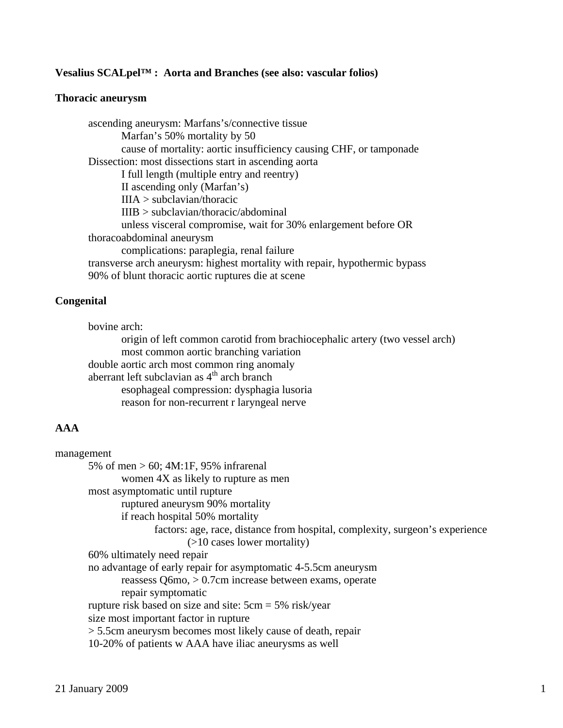### **Vesalius SCALpel™ : Aorta and Branches (see also: vascular folios)**

#### **Thoracic aneurysm**

 ascending aneurysm: Marfans's/connective tissue Marfan's 50% mortality by 50 cause of mortality: aortic insufficiency causing CHF, or tamponade Dissection: most dissections start in ascending aorta I full length (multiple entry and reentry) II ascending only (Marfan's) IIIA > subclavian/thoracic IIIB > subclavian/thoracic/abdominal unless visceral compromise, wait for 30% enlargement before OR thoracoabdominal aneurysm complications: paraplegia, renal failure transverse arch aneurysm: highest mortality with repair, hypothermic bypass 90% of blunt thoracic aortic ruptures die at scene

### **Congenital**

 bovine arch: origin of left common carotid from brachiocephalic artery (two vessel arch) most common aortic branching variation double aortic arch most common ring anomaly aberrant left subclavian as  $4<sup>th</sup>$  arch branch esophageal compression: dysphagia lusoria reason for non-recurrent r laryngeal nerve

## **AAA**

| management                                                                   |  |
|------------------------------------------------------------------------------|--|
| 5% of men $> 60$ ; 4M:1F, 95% infrarenal                                     |  |
| women 4X as likely to rupture as men                                         |  |
| most asymptomatic until rupture                                              |  |
| ruptured aneurysm 90% mortality                                              |  |
| if reach hospital 50% mortality                                              |  |
| factors: age, race, distance from hospital, complexity, surgeon's experience |  |
| $($ >10 cases lower mortality)                                               |  |
| 60% ultimately need repair                                                   |  |
| no advantage of early repair for asymptomatic 4-5.5cm aneurysm               |  |
| reassess $Q6mo$ , $> 0.7cm$ increase between exams, operate                  |  |
| repair symptomatic                                                           |  |
| rupture risk based on size and site: $5cm = 5\%$ risk/year                   |  |
| size most important factor in rupture                                        |  |
| > 5.5cm aneurysm becomes most likely cause of death, repair                  |  |
| 10-20% of patients w AAA have iliac aneurysms as well                        |  |
|                                                                              |  |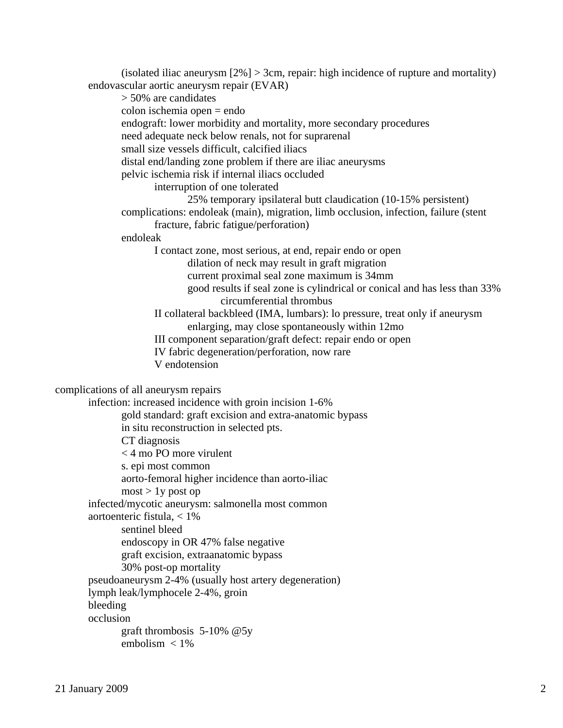(isolated iliac aneurysm [2%] > 3cm, repair: high incidence of rupture and mortality) endovascular aortic aneurysm repair (EVAR) > 50% are candidates colon ischemia open = endo endograft: lower morbidity and mortality, more secondary procedures need adequate neck below renals, not for suprarenal small size vessels difficult, calcified iliacs distal end/landing zone problem if there are iliac aneurysms pelvic ischemia risk if internal iliacs occluded interruption of one tolerated 25% temporary ipsilateral butt claudication (10-15% persistent) complications: endoleak (main), migration, limb occlusion, infection, failure (stent fracture, fabric fatigue/perforation) endoleak I contact zone, most serious, at end, repair endo or open dilation of neck may result in graft migration current proximal seal zone maximum is 34mm good results if seal zone is cylindrical or conical and has less than 33% circumferential thrombus II collateral backbleed (IMA, lumbars): lo pressure, treat only if aneurysm enlarging, may close spontaneously within 12mo III component separation/graft defect: repair endo or open IV fabric degeneration/perforation, now rare V endotension complications of all aneurysm repairs infection: increased incidence with groin incision 1-6% gold standard: graft excision and extra-anatomic bypass in situ reconstruction in selected pts. CT diagnosis < 4 mo PO more virulent s. epi most common aorto-femoral higher incidence than aorto-iliac  $most > 1y$  post op infected/mycotic aneurysm: salmonella most common aortoenteric fistula, < 1% sentinel bleed endoscopy in OR 47% false negative graft excision, extraanatomic bypass 30% post-op mortality pseudoaneurysm 2-4% (usually host artery degeneration) lymph leak/lymphocele 2-4%, groin bleeding occlusion graft thrombosis 5-10% @5y embolism < 1%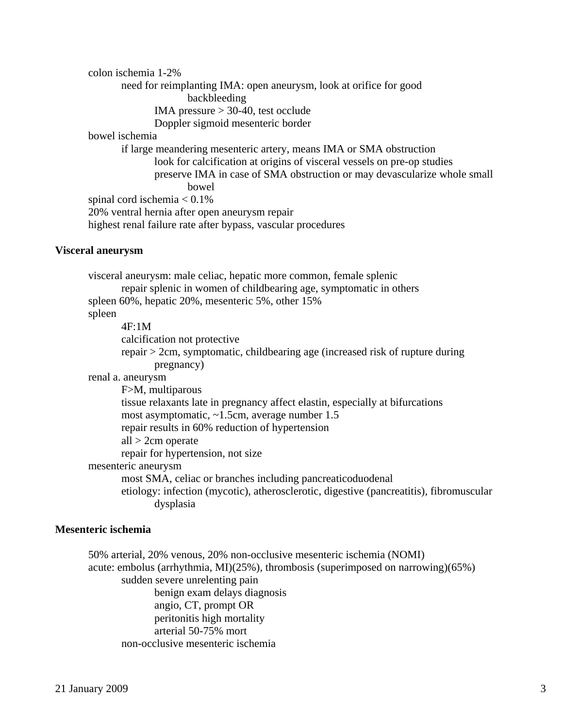colon ischemia 1-2% need for reimplanting IMA: open aneurysm, look at orifice for good backbleeding IMA pressure > 30-40, test occlude Doppler sigmoid mesenteric border bowel ischemia if large meandering mesenteric artery, means IMA or SMA obstruction look for calcification at origins of visceral vessels on pre-op studies preserve IMA in case of SMA obstruction or may devascularize whole small bowel spinal cord ischemia  $< 0.1\%$  20% ventral hernia after open aneurysm repair highest renal failure rate after bypass, vascular procedures

### **Visceral aneurysm**

 visceral aneurysm: male celiac, hepatic more common, female splenic repair splenic in women of childbearing age, symptomatic in others spleen 60%, hepatic 20%, mesenteric 5%, other 15% spleen 4F:1M calcification not protective repair > 2cm, symptomatic, childbearing age (increased risk of rupture during pregnancy) renal a. aneurysm F>M, multiparous tissue relaxants late in pregnancy affect elastin, especially at bifurcations most asymptomatic, ~1.5cm, average number 1.5 repair results in 60% reduction of hypertension all > 2cm operate repair for hypertension, not size mesenteric aneurysm most SMA, celiac or branches including pancreaticoduodenal etiology: infection (mycotic), atherosclerotic, digestive (pancreatitis), fibromuscular dysplasia

### **Mesenteric ischemia**

 50% arterial, 20% venous, 20% non-occlusive mesenteric ischemia (NOMI) acute: embolus (arrhythmia, MI)(25%), thrombosis (superimposed on narrowing)(65%) sudden severe unrelenting pain benign exam delays diagnosis angio, CT, prompt OR peritonitis high mortality arterial 50-75% mort non-occlusive mesenteric ischemia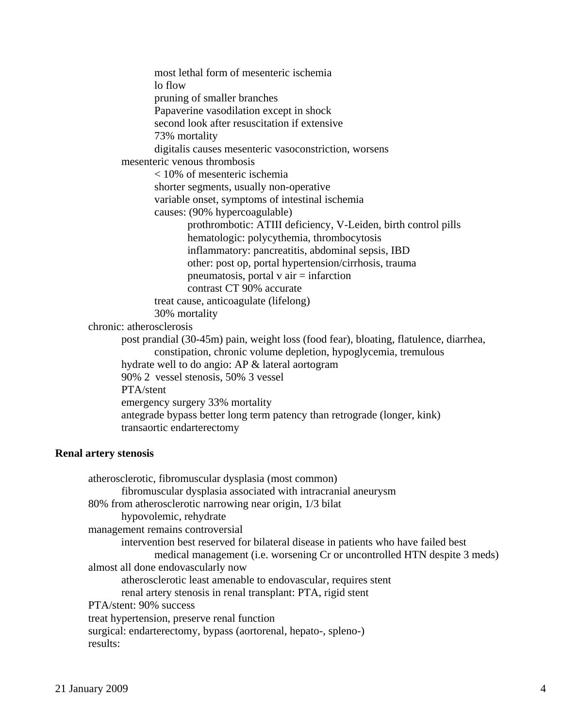most lethal form of mesenteric ischemia lo flow pruning of smaller branches Papaverine vasodilation except in shock second look after resuscitation if extensive 73% mortality digitalis causes mesenteric vasoconstriction, worsens mesenteric venous thrombosis < 10% of mesenteric ischemia shorter segments, usually non-operative variable onset, symptoms of intestinal ischemia causes: (90% hypercoagulable) prothrombotic: ATIII deficiency, V-Leiden, birth control pills hematologic: polycythemia, thrombocytosis inflammatory: pancreatitis, abdominal sepsis, IBD other: post op, portal hypertension/cirrhosis, trauma pneumatosis, portal  $v$  air  $=$  infarction contrast CT 90% accurate treat cause, anticoagulate (lifelong) 30% mortality chronic: atherosclerosis post prandial (30-45m) pain, weight loss (food fear), bloating, flatulence, diarrhea, constipation, chronic volume depletion, hypoglycemia, tremulous hydrate well to do angio: AP & lateral aortogram 90% 2 vessel stenosis, 50% 3 vessel PTA/stent emergency surgery 33% mortality antegrade bypass better long term patency than retrograde (longer, kink) transaortic endarterectomy

### **Renal artery stenosis**

| atherosclerotic, fibromuscular dysplasia (most common)                            |
|-----------------------------------------------------------------------------------|
| fibromuscular dysplasia associated with intracranial aneurysm                     |
| 80% from atherosclerotic narrowing near origin, 1/3 bilat                         |
| hypovolemic, rehydrate                                                            |
| management remains controversial                                                  |
| intervention best reserved for bilateral disease in patients who have failed best |
| medical management (i.e. worsening Cr or uncontrolled HTN despite 3 meds)         |
| almost all done endovascularly now                                                |
| atherosclerotic least amenable to endovascular, requires stent                    |
| renal artery stenosis in renal transplant: PTA, rigid stent                       |
| PTA/stent: 90% success                                                            |
| treat hypertension, preserve renal function                                       |
| surgical: endarterectomy, bypass (aortorenal, hepato-, spleno-)                   |
| results:                                                                          |